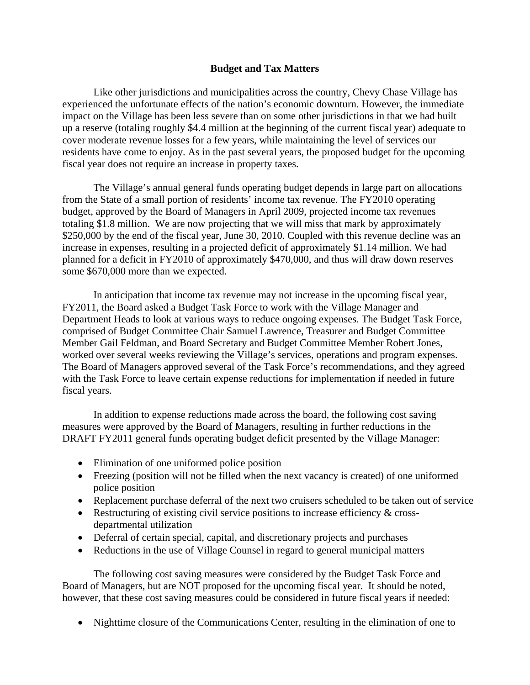### **Budget and Tax Matters**

 Like other jurisdictions and municipalities across the country, Chevy Chase Village has experienced the unfortunate effects of the nation's economic downturn. However, the immediate impact on the Village has been less severe than on some other jurisdictions in that we had built up a reserve (totaling roughly \$4.4 million at the beginning of the current fiscal year) adequate to cover moderate revenue losses for a few years, while maintaining the level of services our residents have come to enjoy. As in the past several years, the proposed budget for the upcoming fiscal year does not require an increase in property taxes.

The Village's annual general funds operating budget depends in large part on allocations from the State of a small portion of residents' income tax revenue. The FY2010 operating budget, approved by the Board of Managers in April 2009, projected income tax revenues totaling \$1.8 million. We are now projecting that we will miss that mark by approximately \$250,000 by the end of the fiscal year, June 30, 2010. Coupled with this revenue decline was an increase in expenses, resulting in a projected deficit of approximately \$1.14 million. We had planned for a deficit in FY2010 of approximately \$470,000, and thus will draw down reserves some \$670,000 more than we expected.

In anticipation that income tax revenue may not increase in the upcoming fiscal year, FY2011, the Board asked a Budget Task Force to work with the Village Manager and Department Heads to look at various ways to reduce ongoing expenses. The Budget Task Force, comprised of Budget Committee Chair Samuel Lawrence, Treasurer and Budget Committee Member Gail Feldman, and Board Secretary and Budget Committee Member Robert Jones, worked over several weeks reviewing the Village's services, operations and program expenses. The Board of Managers approved several of the Task Force's recommendations, and they agreed with the Task Force to leave certain expense reductions for implementation if needed in future fiscal years.

In addition to expense reductions made across the board, the following cost saving measures were approved by the Board of Managers, resulting in further reductions in the DRAFT FY2011 general funds operating budget deficit presented by the Village Manager:

- Elimination of one uniformed police position
- Freezing (position will not be filled when the next vacancy is created) of one uniformed police position
- Replacement purchase deferral of the next two cruisers scheduled to be taken out of service
- Restructuring of existing civil service positions to increase efficiency & crossdepartmental utilization
- Deferral of certain special, capital, and discretionary projects and purchases
- Reductions in the use of Village Counsel in regard to general municipal matters

The following cost saving measures were considered by the Budget Task Force and Board of Managers, but are NOT proposed for the upcoming fiscal year. It should be noted, however, that these cost saving measures could be considered in future fiscal years if needed:

• Nighttime closure of the Communications Center, resulting in the elimination of one to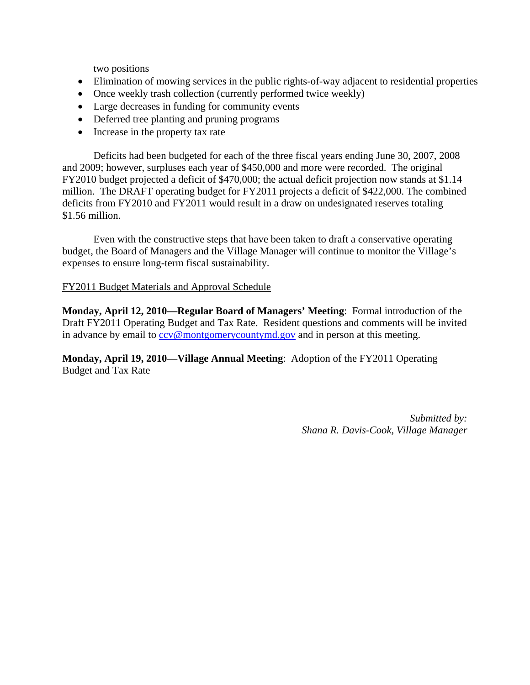two positions

- Elimination of mowing services in the public rights-of-way adjacent to residential properties
- Once weekly trash collection (currently performed twice weekly)
- Large decreases in funding for community events
- Deferred tree planting and pruning programs
- Increase in the property tax rate

Deficits had been budgeted for each of the three fiscal years ending June 30, 2007, 2008 and 2009; however, surpluses each year of \$450,000 and more were recorded. The original FY2010 budget projected a deficit of \$470,000; the actual deficit projection now stands at \$1.14 million. The DRAFT operating budget for FY2011 projects a deficit of \$422,000. The combined deficits from FY2010 and FY2011 would result in a draw on undesignated reserves totaling \$1.56 million.

Even with the constructive steps that have been taken to draft a conservative operating budget, the Board of Managers and the Village Manager will continue to monitor the Village's expenses to ensure long-term fiscal sustainability.

# FY2011 Budget Materials and Approval Schedule

**Monday, April 12, 2010—Regular Board of Managers' Meeting**: Formal introduction of the Draft FY2011 Operating Budget and Tax Rate. Resident questions and comments will be invited in advance by email to  $ccv@$  montgomery countymed.gov and in person at this meeting.

**Monday, April 19, 2010—Village Annual Meeting**: Adoption of the FY2011 Operating Budget and Tax Rate

> *Submitted by: Shana R. Davis-Cook, Village Manager*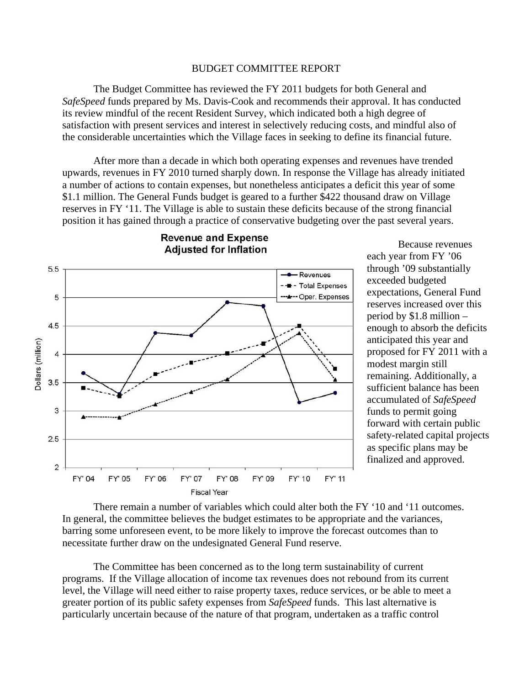#### BUDGET COMMITTEE REPORT

 The Budget Committee has reviewed the FY 2011 budgets for both General and *SafeSpeed* funds prepared by Ms. Davis-Cook and recommends their approval. It has conducted its review mindful of the recent Resident Survey, which indicated both a high degree of satisfaction with present services and interest in selectively reducing costs, and mindful also of the considerable uncertainties which the Village faces in seeking to define its financial future.

After more than a decade in which both operating expenses and revenues have trended upwards, revenues in FY 2010 turned sharply down. In response the Village has already initiated a number of actions to contain expenses, but nonetheless anticipates a deficit this year of some \$1.1 million. The General Funds budget is geared to a further \$422 thousand draw on Village reserves in FY '11. The Village is able to sustain these deficits because of the strong financial position it has gained through a practice of conservative budgeting over the past several years.



**Revenue and Expense Adjusted for Inflation** 

Because revenues each year from FY '06 through '09 substantially exceeded budgeted expectations, General Fund reserves increased over this period by \$1.8 million – enough to absorb the deficits anticipated this year and proposed for FY 2011 with a modest margin still remaining. Additionally, a sufficient balance has been accumulated of *SafeSpeed* funds to permit going forward with certain public safety-related capital projects as specific plans may be finalized and approved.

There remain a number of variables which could alter both the FY '10 and '11 outcomes. In general, the committee believes the budget estimates to be appropriate and the variances, barring some unforeseen event, to be more likely to improve the forecast outcomes than to necessitate further draw on the undesignated General Fund reserve.

The Committee has been concerned as to the long term sustainability of current programs. If the Village allocation of income tax revenues does not rebound from its current level, the Village will need either to raise property taxes, reduce services, or be able to meet a greater portion of its public safety expenses from *SafeSpeed* funds. This last alternative is particularly uncertain because of the nature of that program, undertaken as a traffic control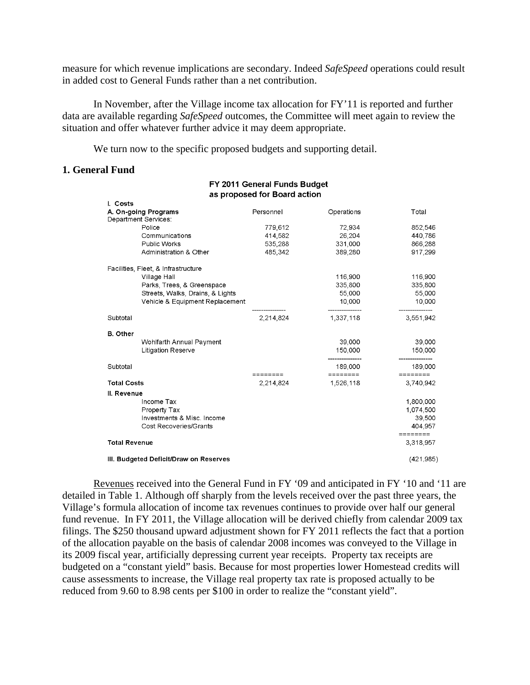measure for which revenue implications are secondary. Indeed *SafeSpeed* operations could result in added cost to General Funds rather than a net contribution.

In November, after the Village income tax allocation for FY'11 is reported and further data are available regarding *SafeSpeed* outcomes, the Committee will meet again to review the situation and offer whatever further advice it may deem appropriate.

We turn now to the specific proposed budgets and supporting detail.

#### **1. General Fund**

#### FY 2011 General Funds Budget as proposed for Board action

| I. Costs                                     |                                     |           |                   |                       |
|----------------------------------------------|-------------------------------------|-----------|-------------------|-----------------------|
| A. On-going Programs<br>Department Services: |                                     | Personnel | Operations        | Total                 |
|                                              | Police                              | 779,612   | 72,934            | 852,546               |
|                                              | Communications                      | 414,582   | 26,204            | 440,786               |
|                                              | Public Works                        | 535,288   | 331,000           | 866,288               |
|                                              | Administration & Other              | 485,342   | 389,280           | 917,299               |
|                                              | Facilities, Fleet, & Infrastructure |           |                   |                       |
|                                              | Village Hall                        |           | 116,900           | 116,900               |
|                                              | Parks, Trees, & Greenspace          |           | 335,800           | 335,800               |
|                                              | Streets, Walks, Drains, & Lights    |           | 55,000            | 55,000                |
|                                              | Vehicle & Equipment Replacement     |           | 10,000            | 10,000                |
| Subtotal                                     |                                     | 2.214.824 | 1,337,118         | 3,551,942             |
| <b>B.</b> Other                              |                                     |           |                   |                       |
|                                              | Wohlfarth Annual Payment            |           | 39,000            | 39,000                |
|                                              | <b>Litigation Reserve</b>           |           | 150,000           | 150,000               |
| Subtotal                                     |                                     |           | 189,000           | 189,000               |
|                                              |                                     | ========  | $=$ = = = = = = = | ========              |
| <b>Total Costs</b>                           |                                     | 2,214,824 | 1,526,118         | 3,740,942             |
| II. Revenue                                  |                                     |           |                   |                       |
|                                              | Income Tax                          |           |                   | 1,800,000             |
|                                              | Property Tax                        |           |                   | 1,074,500             |
|                                              | Investments & Misc. Income          |           |                   | 39,500                |
|                                              | Cost Recoveries/Grants              |           |                   | 404,957               |
| <b>Total Revenue</b>                         |                                     |           |                   | ========<br>3,318,957 |
|                                              |                                     |           |                   |                       |
| III. Budgeted Deficit/Draw on Reserves       |                                     |           |                   | (421, 985)            |

Revenues received into the General Fund in FY '09 and anticipated in FY '10 and '11 are detailed in Table 1. Although off sharply from the levels received over the past three years, the Village's formula allocation of income tax revenues continues to provide over half our general fund revenue. In FY 2011, the Village allocation will be derived chiefly from calendar 2009 tax filings. The \$250 thousand upward adjustment shown for FY 2011 reflects the fact that a portion of the allocation payable on the basis of calendar 2008 incomes was conveyed to the Village in its 2009 fiscal year, artificially depressing current year receipts. Property tax receipts are budgeted on a "constant yield" basis. Because for most properties lower Homestead credits will cause assessments to increase, the Village real property tax rate is proposed actually to be reduced from 9.60 to 8.98 cents per \$100 in order to realize the "constant yield".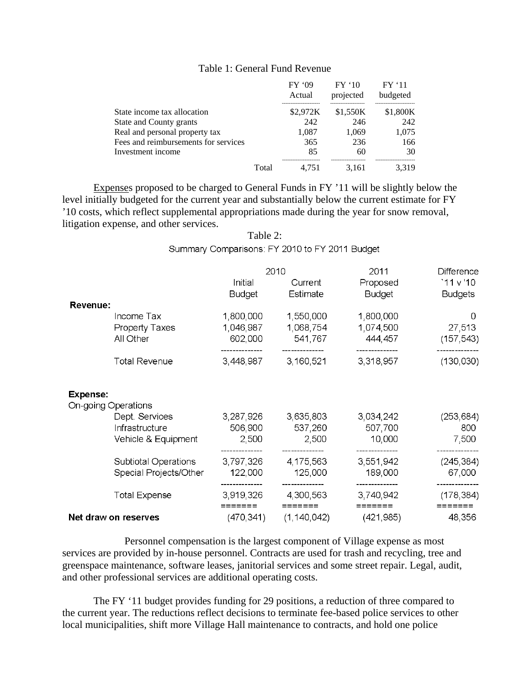|                                      |       | FY '09<br>Actual<br>--------------------- | FY'10<br>projected<br>-------------------- | FY'11<br>budgeted<br> |
|--------------------------------------|-------|-------------------------------------------|--------------------------------------------|-----------------------|
| State income tax allocation          |       | \$2.972K                                  | \$1.550K                                   | \$1,800K              |
| State and County grants              |       | 242                                       | 246                                        | 242                   |
| Real and personal property tax       |       | 1.087                                     | 1.069                                      | 1,075                 |
| Fees and reimbursements for services |       | 365                                       | 236                                        | 166                   |
| Investment income                    |       | 85                                        | 60                                         | 30                    |
|                                      | Total | ----------------------<br>4.751           | <br>3.161                                  | <br>3.319             |

### Table 1: General Fund Revenue

Expenses proposed to be charged to General Funds in FY '11 will be slightly below the level initially budgeted for the current year and substantially below the current estimate for FY '10 costs, which reflect supplemental appropriations made during the year for snow removal, litigation expense, and other services.

## Table 2: Summary Comparisons: FY 2010 to FY 2011 Budget

|                                                              |                                                | 2010<br>Initial<br>Current<br>Estimate<br><b>Budget</b> |                                   | 2011<br>Proposed<br><b>Budget</b> | Difference<br>11v'10<br><b>Budgets</b> |
|--------------------------------------------------------------|------------------------------------------------|---------------------------------------------------------|-----------------------------------|-----------------------------------|----------------------------------------|
| <b>Revenue:</b><br>Income Tax<br>Property Taxes<br>All Other |                                                | 1,800,000<br>1,046,987<br>602,000                       | 1,550,000<br>1,068,754<br>541,767 | 1,800,000<br>1,074,500<br>444,457 | 0<br>27,513<br>(157, 543)              |
|                                                              | <b>Total Revenue</b>                           | 3,448,987                                               | 3,160,521                         | 3,318,957                         | (130, 030)                             |
| <b>Expense:</b><br>On-going Operations                       |                                                |                                                         |                                   |                                   |                                        |
| Dept. Services<br>Infrastructure<br>Vehicle & Equipment      |                                                | 3,287,926<br>506,900<br>2,500                           | 3,635,803<br>537,260<br>2,500     | 3,034,242<br>507,700<br>10,000    | (253, 684)<br>800<br>7,500             |
|                                                              | Subtiotal Operations<br>Special Projects/Other | 3,797,326<br>122,000                                    | 4,175,563<br>125,000              | 3,551,942<br>189,000              | (245, 384)<br>67,000                   |
|                                                              | <b>Total Expense</b>                           | 3,919,326                                               | 4,300,563                         | 3,740,942                         | (178, 384)                             |
| Net draw on reserves                                         |                                                | (470, 341)                                              | (1, 140, 042)                     | (421, 985)                        | 48,356                                 |

 Personnel compensation is the largest component of Village expense as most services are provided by in-house personnel. Contracts are used for trash and recycling, tree and greenspace maintenance, software leases, janitorial services and some street repair. Legal, audit, and other professional services are additional operating costs.

The FY '11 budget provides funding for 29 positions, a reduction of three compared to the current year. The reductions reflect decisions to terminate fee-based police services to other local municipalities, shift more Village Hall maintenance to contracts, and hold one police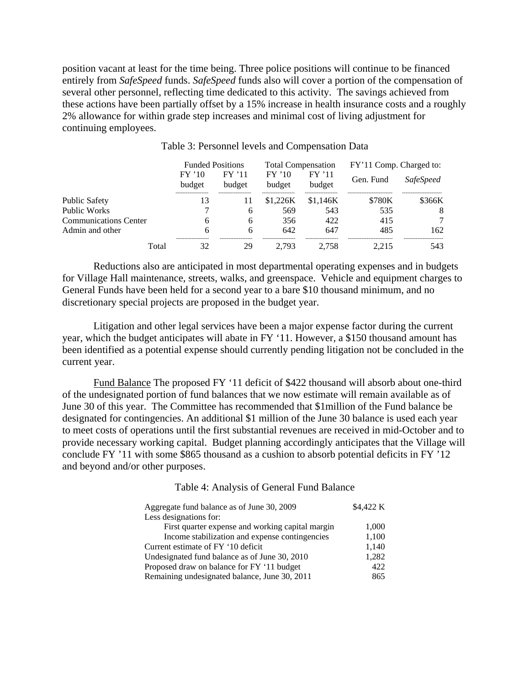position vacant at least for the time being. Three police positions will continue to be financed entirely from *SafeSpeed* funds. *SafeSpeed* funds also will cover a portion of the compensation of several other personnel, reflecting time dedicated to this activity. The savings achieved from these actions have been partially offset by a 15% increase in health insurance costs and a roughly 2% allowance for within grade step increases and minimal cost of living adjustment for continuing employees. Ì

|                              | <b>Funded Positions</b>   |                     | <b>Total Compensation</b>       |                                 | FY'11 Comp. Charged to: |                  |
|------------------------------|---------------------------|---------------------|---------------------------------|---------------------------------|-------------------------|------------------|
|                              | $FY'$ 10<br>budget        | FY'11<br>budget     | $FY'$ 10<br>budget              | FY'11<br>budget                 | Gen. Fund               | <i>SafeSpeed</i> |
| Public Safety                | -------------------<br>13 | ------------------- | -------------------<br>\$1.226K | -------------------<br>\$1.146K | \$780K                  | <br>\$366K       |
| Public Works                 |                           | 6                   | 569                             | 543                             | 535                     | 8                |
| <b>Communications Center</b> | 6                         | 6                   | 356                             | 422                             | 415                     |                  |
| Admin and other              | 6                         | h                   | 642                             | 647                             | 485                     | 162.             |
| Total                        | -------------------<br>32 | 29                  | 2.793                           | .758                            |                         | 543              |

Table 3: Personnel levels and Compensation Data

Reductions also are anticipated in most departmental operating expenses and in budgets for Village Hall maintenance, streets, walks, and greenspace. Vehicle and equipment charges to General Funds have been held for a second year to a bare \$10 thousand minimum, and no discretionary special projects are proposed in the budget year.

Litigation and other legal services have been a major expense factor during the current year, which the budget anticipates will abate in FY '11. However, a \$150 thousand amount has been identified as a potential expense should currently pending litigation not be concluded in the current year.

 Fund Balance The proposed FY '11 deficit of \$422 thousand will absorb about one-third of the undesignated portion of fund balances that we now estimate will remain available as of June 30 of this year. The Committee has recommended that \$1million of the Fund balance be designated for contingencies. An additional \$1 million of the June 30 balance is used each year to meet costs of operations until the first substantial revenues are received in mid-October and to provide necessary working capital. Budget planning accordingly anticipates that the Village will conclude FY '11 with some \$865 thousand as a cushion to absorb potential deficits in FY '12 and beyond and/or other purposes.

#### Table 4: Analysis of General Fund Balance

| Aggregate fund balance as of June 30, 2009       | \$4,422 K |
|--------------------------------------------------|-----------|
| Less designations for:                           |           |
| First quarter expense and working capital margin | 1,000     |
| Income stabilization and expense contingencies   | 1,100     |
| Current estimate of FY '10 deficit               | 1,140     |
| Undesignated fund balance as of June 30, 2010    | 1,282     |
| Proposed draw on balance for FY '11 budget       | 422       |
| Remaining undesignated balance, June 30, 2011    | 865       |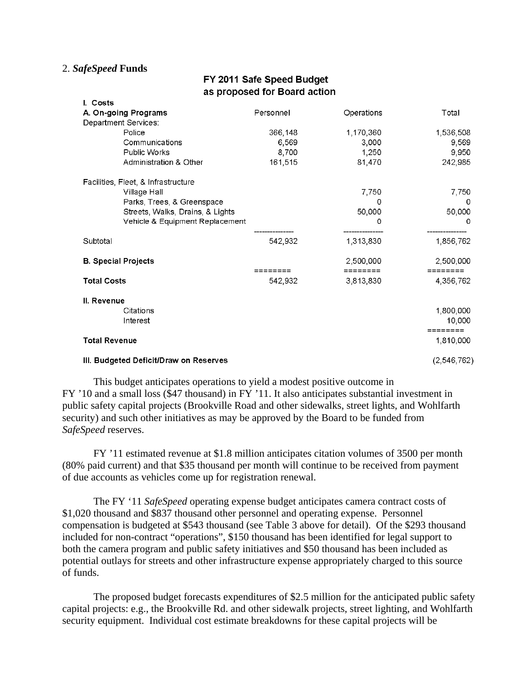## 2. *SafeSpeed* **Funds**

# FY 2011 Safe Speed Budget as proposed for Board action

| I. Costs                               |               |            |                    |  |
|----------------------------------------|---------------|------------|--------------------|--|
| A. On-going Programs                   | Personnel     | Operations | Total              |  |
| Department Services:                   |               |            |                    |  |
| Police                                 | 366,148       | 1,170,360  | 1,536,508          |  |
| Communications                         | 6,569         | 3,000      | 9,569              |  |
| <b>Public Works</b>                    | 8,700         | 1,250      | 9,950              |  |
| Administration & Other                 | 161,515       | 81,470     | 242,985            |  |
| Facilities, Fleet, & Infrastructure    |               |            |                    |  |
| Village Hall                           |               | 7,750      | 7,750              |  |
| Parks, Trees, & Greenspace             |               | Ω          | 0                  |  |
| Streets, Walks, Drains, & Lights       |               | 50,000     | 50,000             |  |
| Vehicle & Equipment Replacement        |               | 0          | 0                  |  |
| Subtotal                               | 542,932       | 1,313,830  | 1,856,762          |  |
| <b>B. Special Projects</b>             |               | 2,500,000  | 2,500,000          |  |
|                                        | ========      | ========   | ========           |  |
| <b>Total Costs</b>                     | 542,932       | 3,813,830  | 4.356.762          |  |
| II. Revenue                            |               |            |                    |  |
| Citations                              |               |            | 1,800,000          |  |
| Interest                               |               |            | 10,000<br>======== |  |
| <b>Total Revenue</b>                   |               |            | 1,810,000          |  |
| III. Budgeted Deficit/Draw on Reserves | (2, 546, 762) |            |                    |  |

This budget anticipates operations to yield a modest positive outcome in FY '10 and a small loss (\$47 thousand) in FY '11. It also anticipates substantial investment in public safety capital projects (Brookville Road and other sidewalks, street lights, and Wohlfarth security) and such other initiatives as may be approved by the Board to be funded from *SafeSpeed* reserves.

FY '11 estimated revenue at \$1.8 million anticipates citation volumes of 3500 per month (80% paid current) and that \$35 thousand per month will continue to be received from payment of due accounts as vehicles come up for registration renewal.

The FY '11 *SafeSpeed* operating expense budget anticipates camera contract costs of \$1,020 thousand and \$837 thousand other personnel and operating expense. Personnel compensation is budgeted at \$543 thousand (see Table 3 above for detail). Of the \$293 thousand included for non-contract "operations", \$150 thousand has been identified for legal support to both the camera program and public safety initiatives and \$50 thousand has been included as potential outlays for streets and other infrastructure expense appropriately charged to this source of funds.

 The proposed budget forecasts expenditures of \$2.5 million for the anticipated public safety capital projects: e.g., the Brookville Rd. and other sidewalk projects, street lighting, and Wohlfarth security equipment. Individual cost estimate breakdowns for these capital projects will be